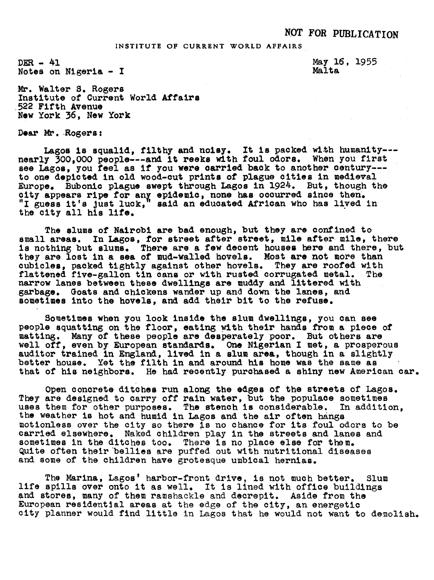## INSTITUTE OF CURRENT WORLD AFFAIRS

 $DEF - 41$ Notes on Nigeria - I May 16, 1955 Malta

Mr. Walter S. Rogers Institute of Current World Affairs 522 Fifth Avenue New York 36, New York

Dear Mr. Rogers:

Lagos is squalid, filthy and noisy. It is packed with humanity---<br>nearly 300,000 people---and it reeks with foul odors. When you first see Lagos, you feel as if you were carried back to another century--to one depicted in old wood-cut prints of plague cities in medieval Europe. Bubonic plague swept through Lagos in 1924. But, though the city appears ripe for any epidemic, none has occurred since then.<br>city appears ripe for any epidemic, none has occurred since then. "I guess it's just luck," said an educated African who has lived in the city all his life.

The slums of Nairobi are bad enough, but they are confined to small areas. In Lagos, for street after street, mile after mile, there<br>is nothing but slums. There are a few decent houses here and there, but<br>there are a few decent houses here and there, but is nothing but slums. There are a lew decent houses here and there,<br>they are lost in a sea of mud-walled hovels. Most are not more than cubicles, packed tightly against other hovels. They are roofed with flattened five-gallon tin cans or with rusted corrugated metal. The flattened five-gallon tin cans or with rusted corrugated metal. narrow lanes between these dwellings are muddy and littered with narrow lanes between these dwellings are muddy and littered wi<br>garbage. Goats and chickens wander up and down the lanes, and<br>sometimes into the hovels, and add their bit to the refuse.

Sometimes when you look inside the slum dwellings, you can see people squatting on the floor, eating with their hands from a piece of people squatting on the floor, eating with their hands from a piece<br>matting. Many of these people are desperately poor. But others are well off, even by European standards. One Nigerian I met, a prosperous well off, even by European standards. One Nigerian I met, a prosperous auditor trained in England, lived in a slum area, though in a slightly better house. Yet the filth in and around his home was the same as that of his n better house. Yet the filth in and around his home was the same as that of his neighbors. He had recently purchased a shiny new American car.

Open concrete ditches run along the edges of the streets of Lagos. They are designed to carry off rain water, but the populace sometimes uses them for other purposes. The stench is considerable. In addition, the weather is hot and humid in Lagos and the air often hangs otionless over the city so there is no chance for its foul odors to be carried elsewhere. Naked children play in the streets and lanes and sometimes in the ditches too. There is no place else for them. Quite often their bellies are puffed out with nutritional diseases and some of the children have grotesque umbical hernias.

The Marina, Lagos' harbor-front drive, is not much better. Slum llfe spills over onto it as well. It is lined with office buildings and stores, many of them ramshackle and decrepit. Aside from the European residential areas at the edge of the city, an energetic city planner would find little in Lagos that he would not want to demolish.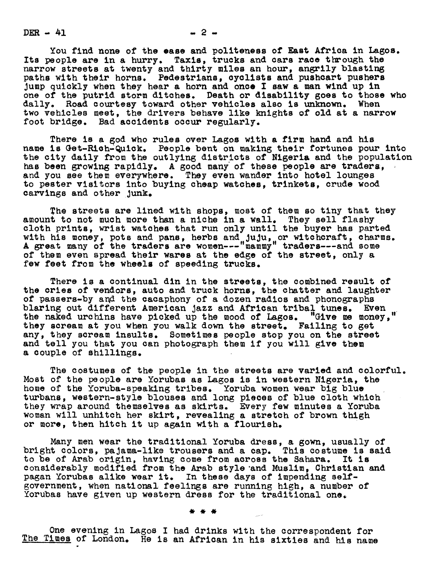$DER - 41$   $-2$   $-$ 

You find none of the ease and politeness of East Africa in Lagos. Its people are in a hurry. Taxis, trucks and cars race through the narrow streets at twenty and thirty miles an hour, angrily blasting paths with their horns. Pedestrians, cyclists and pushcart pushers Jump quickly when they hear a horn and once I saw a man wind up in one of the putrid storm ditches. Death or disability goes to those who dally. Road courtesy toward other vehicles also is unknown. When two vehicles meet, the drivers behave like knights of old at a narrow foot bridge. Bad accidents occur regularly.

There is a god who rules over Lagos with a firm hand and his name is Get-Rich-Quick. People bent on making their fortunes pour into the city daily from the outlying districts of Nigeria and the population has been growing rapidly. A good many of these people are traders, and you see them everywhere. They even wander into hotel lounges to pester visitors into buying cheap watches, trinkets, crude wood carvings and other Junk.

The streets are lined with shops, most of them so tiny that they amount to not much more than a niche in a wall. They sell flashy cloth prints, wrist watches that run only until the buyer has parted with his money, pots and pans, herbs and JuJu, or witchcraft, charms. A great many of the traders are women--"mammy" traders---and some of them even spread their wares at the edge of the street, only a few feet from the wheels of speeding trucks.

There is a continual din in the streets, the combined result of the cries of vendors, auto and truck horns, the chatter and laughter of passers-by and the cacaphony of a dozen radios and phonographs blaring out different American jazz and African tribal tunes. Even the naked urchins have picked up the mood of Lagoe. "Give me money, they scream at you when you walk down the street. Failing to get any, they scream insults. Sometimes people stop you on the street and tell you that you can photograph them if you will give them a couple of shillings.

The costumes of the people in the streets are varied and colorful. Most of the people are Yorubas as Lagos is in western Nigeria, the home of the Yoruba-speaklng tribes. Yoruba women wear big blue turbans, western-style blouses and long pieces of blue cloth which they wrap around themselves as skirts. Every few minutes a Yoruba woman will unhitch her skirt, revealing a stretch of brown thigh or more, then hitch it up again with a flourish.

Many men wear the traditional Yoruba dress, a gown, usually of bright colors, pajama-like trousers and a cap. This costume is said to be of Arab origin, having come from across the Sahara. It is considerably modified from the Arab style 'and Muslim, Christian and pagan Yorubas alike wear it. In these days of impending selfgovernment, when national feelings are running high, a number of Yorubas have given up western dress for the traditional one.

One evening in Lagos I had drinks with the correspondent for The Times of London. He is an African in his sixties and his name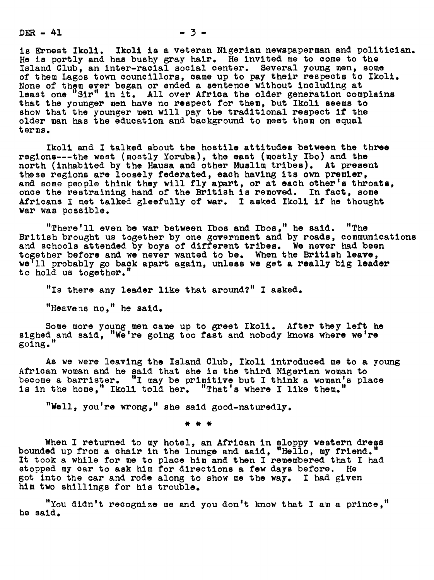$DER - 41$   $-3 -$ 

is Ernest Ikoll. Ikoll is a veteran Nigerian newspaperman and politician. He is portly and has bushy gray hair. He invited me to come to the Island Club, an lurer-racial social center. Several young men, some of them Lagos town councillors, came up to pay heir respects to Ikoli. None of them ever began or ended a sentence without including at least one "Sir" in it. All over Africa the older generation complains that the younger men have no respect for them, but Ikoli seems to show that the younger men will pay the traditional respect if the older man has the education and background to meet them on equal terms.

Ikoli and I talked about the hostile attitudes between the three regions---he west (mostly Yoruba), the east (mostly Ibo) and the north (inhabited by the Hausa and other Muslim tribes). At present these regions are loosely federated, each having its own premier, and some people think they will fly apart, or at each other's throats, once the restraining hand of the British is removed. In fact, some Africans I met talked gleefully of war. I asked Ikoli if he thought war was possible.

"There'll even be war between Ibos and Ibos," he said. "The British brought us together by cue government and by roads, communications and schools attended by boys of different tribes. We never had been together before and we never wanted to be. When the British leave,<br>we'll probably go back apart again, unless we get a really big leader to hold us together."

"Is there any leader like that around?" I asked.

"Heavens no." he said.

Some more young men came up to greet Ikoll. After they left he sighed and said, "We're going too fast and nobody knows where we're going."

As we were leaving the Island Club, Ikoli introduced me to a young African woman and he said that she is the third Nigerian woman to become a barrister. "I may be primitive but I think a woman's place is in the home," Ikoli told her. "That's where I like them."

"Well, you're wrong," she said good-naturedly.

When I returned to my hotel, an African in sloppy western dress bounded up from a chair in the lounge and said, "Hello, my friend." It took a while for me to place him and then I remembered that <sup>I</sup> had stopped my car to ask him for directions a few days before. He got into the car and rode along to show me the way. I had given him two shillings for his trouble.

"You didn't recognize me and you don't know that I am a prince, he said.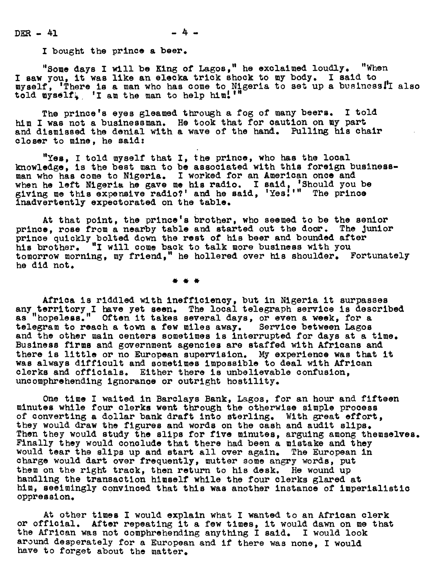I bought the prince a beer.

"Some days I will be King of Lagos," he exclaimed loudly. "When<br>I saw you, it was like an elecka trick shock to my body. I said to myself, 'There is & man who has come to Nigeria to set up a business|I also told  $wysell$ , 'I am the man to help him!'"

The prince's eyes gleamed through a fog of many beers. I told him I was not a businessman. He took that for caution on my part and dismissed the denial with a wave of the hand. Pulling his chair closer to aine, he said:

"Yes, I told myself that I, the prince, who has the local res, I told myself that I, the prince, who has the local<br>knowledge, is the best man to be associated with this foreign businessknowledge, is the best man to be associated with this foreigh b<br>man who has come to Nigeria. I worked for an American once and when he left Nigeria he gave me his radio. I said, 'Should you be 6ivin6 ae 5his expensive radio?' and he said, 'Yes:'" The prince Inadvertently expectorated on the table.

At that point, the prince's brother, who seemed to be the senior prince, rose from a nearby table and started out the door. The junior prince quickly bolted down the rest of his beer and bounded after his brother. "I will come back to talk more business with you tomorrow morning, my friend," he hollered over his shoulder. Fortunately he did not.

Africa is riddled with inefficiency, but in Nigeria it surpasses any territory I have yet seen. The local telegraph service is described as "hopeless." Often it takes several days, or even a week, for a telegram to reach a town a few miles away. Service between Lagos and the other main centers sometimes is interrupted for days at a time. Business firms and government agencies are staffed with Africans and there is little or no European supervision. My experience was that it was always difficult and sometimes ipossible to deal with African clerks and officials. Either there is unbelievable confusion, uncomphrehending ignorance or outright hostility.

One time I waited in Barclays Bank, Lagos, for an hour and fifteen minutes while four clerks went through the otherwise simple process of converting a dollar bank draft into sterling. With great effort, they would draw the figures and words on the cash and audit slips. Then they would study the slips for five minutes, arguing among themselves. Finally they would conclude that there had been a mistake and they would tear the slips up and start all over again. The European in charge would dart over frequently, mutter some angry words, put them on the right track, then return to his desk. He wound up handling the transaction himself while the four clerks glared at him, seeimingly convinced that this was another instance of imperialistic oppression.

At other times I would explain what I wanted to an African clerk or official. After repeating it a few times, it would dawn on me that the African was not comphrehending anything I said. I would look around desperately for a European and if there was none, <sup>I</sup> would have to forget about the matter.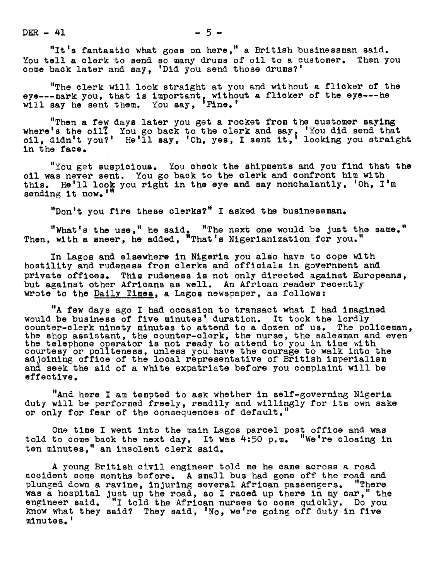$DER - 41$   $-5-$ 

"It's fantastic what goes on here," a British businessman said. You tell a clerk to send so many drums of oil to a customer. Then you come back later and say, 'Did you send those drums?'

"The clerk will look straight at you and without a flicker of the eye---mark you, that is important, without a flicker of the eye---he will say he sent them. You say, Fine .

"Then a few days later you get a rocket from the customer saying where's the oil? You go back to the clerk and say, 'You did send that oil, didn't you?' He'll say, 'Oh, yes, I sent it,' looking you straight in the face.

"You get suspicious. You check the shipments and you find that the oil was never sent. You go back to the clerk and confront him with this. He'll look you right in the eye and say nonchalantly, 'Oh, I'm sending it now.'"

"Don't you fire these clerks?" I asked the businessman.

"What's the use, " he said. "The next one would be Just the same. Then, with a sneer, he added, "That's Nigerianization for you."

In Lagos and elsewhere in Nigeria you also have to cope with hostility and rudeness from clerks and officials in government and private offices. This rudeness is not only directed against Europeans, but against other Africans as well. An African reader recently wrote to the Daily Times, a Lagos newspaper, as follows:

"A few days ago I had occasion to transact what I had imagined would be business of five minutes' duration. It took the lordly would be business of five minutes duration. It took the folding<br>counter-clerk ninety minutes to attend to a dozen of us. The policeman,<br>the shop assistant, the counter-clerk, the nurse, the salesman and even<br>the telephone courtesy or politeness, unless you have the courage to walk into the adjoining office of the local representative of British imperialism and seek the aid of a white expatriate before you complaint will be effective.

"And here I am tempted to ask whether in self-governing Nigeria duty will be performed freely, readily and willingly for its own sake or only for fear of the consequences of default.

One time I went into the main Lagos parcel post office and was told to come back the next day. It was 4:50 p.m. "We're closing in ten minutes," an insolent clerk said.

A young British civil engineer told me he came across a road accident some months before. A small bus had gone off the road and plunged down a ravine, injuring several African passengers. "There was a hospital just up the road, so I raced up there in my car," the engineer said. "I told the African nurses to come quickly. Do you "I told the African nurses to come quickly. Do you know what they said? They said, 'No, we're going off duty in five minutes.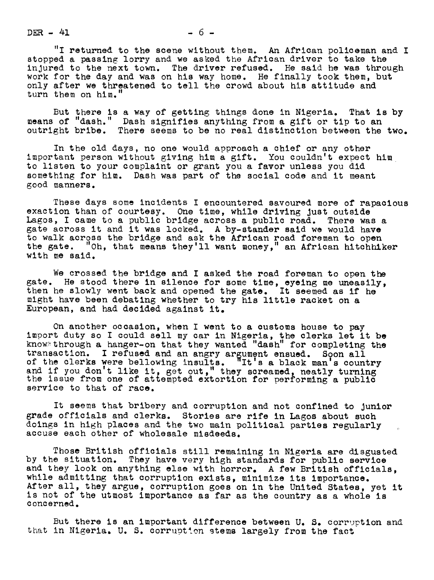$DER - 41$   $-6$   $-$ 

"I returned to the scene without them. An African policeman and I stopped a passing lorry and we asked the African driver to take the injured to the next town. The driver refused. He said he was through work for the day and was on his way home. He finally took them, but only after we threatened to tell the crowd about his attitude and turn them on him.

But there is a way of getting things done in Nigeria. That is by means of "dash." Dash signifies anything from a gift or tip to an outright bribe. There seems to be no real distinction between the two.

In the old days, no one would approach a chief or any other important person without giving him a gift. You couldn't expect him to listen to your complaint or grant you a favor unless you did something for him. Dash was part of the social code and it meant good manners.

These days some incidents I encountered savoured more of rapacious exaction than of courtesy. One time, while driving Just outside Lagos, I came to a public bridge across a public road. There was a gate across it and it was locked. A by-stander said we would have to walk across the bridge and ask the African road foreman to open the gate. "Oh, that means they'll want money," an African hitchhiker with me said.

We crossed the bridge and I asked the road foreman to open the gate. He stood there in silence for some time, eyeing me uneasily, then he slowly went back and opened the gate. It seemed as if he might have been debating whether to try his little racket on a European, and had decided against it.

On another occasion, when <sup>I</sup> went to a customs house to pay import duty so I could sell my car in Nigeria, the clerks let it be know through a hanger-on that they wanted "dash" for completing the transaction. <sup>I</sup> refused and an angry argument ensued. Soon all of the clerks were bellowing insults. "It's a black man's country and if you don't like it, get out," they screamed, neatly turning the issue from one of attempted extortion for performing a public service to that of race.

It seems that bribery and corruption and not confined to Junior grade officials and clerks. Stories are rife in Lagos about such doings in high places and the two main political parties regularly accuse each other of wholesale misdeeds.

Those British officials still remaining in Nigeria are disgusted by the situation. They have very high standards for public service and they look on anything else with horror. A few British officials, while admitting that corruption exists, minimize its importance. After all, they argue, corruption goes on in the United States, yet it is not of the utmost importance as far as the country as a whole is concerned.

But there is an important difference between U. S. corruption and that in Nigeria. U. S. corruption stems largely from the fact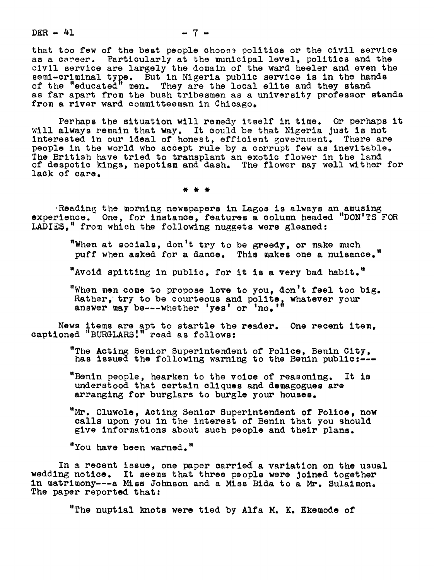$DER - 41$  - 7 -

that too few of the best people choose politics or the civil service as a career. Particularly at the municipal level, politics and the civil service are largely the domain of the ward heeler and even the semi-criminal type. But in Nigeria public service is in the hands of the "educated" men. They are the local elite and they stand as far apart from the bush tribesmen as a university professor stands from a river ward committeeman in Chicago.

Perhaps the situation will remedy itself in time. Or perhaps it will always remain that way. It could be that Nigeria Just is not interested in our ideal of honest, efficient government. There are people in the world who accept rule by a corrupt few as inevitable. The British have tried to transplant an exotic flower in the land of despotic kings, nepotism and dash. The flower may well wither for lack of care.

Reading the morning newspapers in Lagos is always an amusing experience. One, for instance, features a column headed "DON'TS FOR LADIES," from which the following nuggets were gleaned:

> "When at socials, don't try to be greedy, or make much puff when asked for a dance. This makes one a nuisance."

"Avoid spitting in public, for it is a very bad habit."

"When men come to propose love to you, don't feel too big. when men come to propose love to you, don't feel too<br>Rather, try to be courteous and polite, whatever your<br>answer may be---whether 'yes' or 'no.'"

News items are apt to startle the reader. One recent item, captioned "BURGLARS'." read as follows:

"The Acting Senior Superintendent of Police, Benin City, has issued the following warning to the Benin public:---

"Benin people, hearken to the voice of reasoning. It is understood that certain cliques and demagogues are arranging for burglars to burgle your houses.

"Mr. Oluwole, Acting Senior Superintendent of Police, now calls upon you in the interest of Benin that you should give informations about such people and their plans.

"You have been warned."

In a recent issue, one paper carried a variation on the usual wedding notice. It seems that three people were Joined together in matrimony---a Miss Johnson and a Miss Bida to a Mr. Sulaimon. The paper reported that:

"The nuptial knots were tied by Alfa M. K. Ekemode of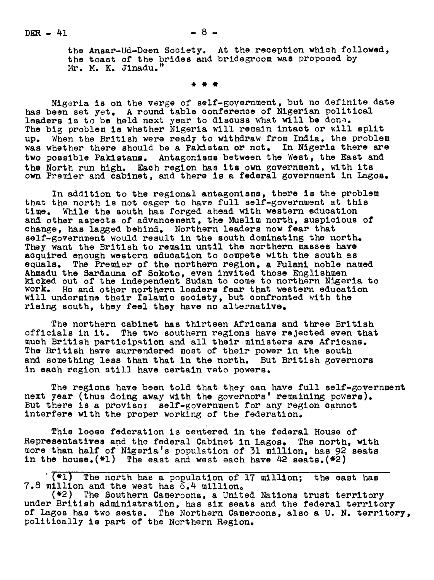the Ansar-Ud-Deen Society. At the reception which followed, the toast of the brides and bridegroom was proposed by Mr. M. K. Jinadu.

Migeria is on the verge of self-government, but no definite date has been set yet. A round table conference of Nigerian political leaders is to be held next year to discuss what will be done. The big problem is whether Nigeria will remain intact or will split up. When the British were ready to withdraw from India, the problem was whether there should be a Pakistan or not. In Nigeria there are two possible Paklstans. Antagonisms between the West, the East and the North run high. Each region has its own government, with its own Premier and cabinet, and there is a federal government in Lagos.

In addition to the regional antagonisms, there is the problem that the north is not eager to have full self-government at this time. While the south has forged ahead with western education and other aspects of advancement, the Muslim north, suspicious of change, has lagged behind. Northern leaders now fear that self-government would result in the south dominating the north. They want the British to remain until the northern masses have acquired enough western education to compete with the south as equals. The Premier of the northern region, a Fulani noble named Ahmadu the Sardauna of 8okoto, even invited those Englishmen kicked out of the independent Sudan to come to northern Nigeria to work. He and other northern leaders fear that western education will undermine their Islamic society, but confronted with the rising south, they feel they have no alternative.

The northern cabinet has thirteen Africans and three British officials in it. The two southern regions have rejected even that much British participation and all their.ministers are Africans. The British have surrendered most of their power in the south and something less than that in the north. But British governors in each region still have certain veto powers.

The regions have been told that they can have full self-government next year (thus doing away with the governors' remaining powers). But there is a proviso: self-government for any region cannot interfere with the proper working of the federation.

This loose federation is centered in the federal House of Representatives and the federal Cabinet in Lagos. The north, with more than half of Nigeria's population of 31 million, has 92 seats in the house. $(*)$  The east and west each have  $42$  seats. $(*)$ 

(\*1) The north has a population of 17 million; the east has 7.8 million and the west has 6.4 million.

(\*2) The Southern Cameroons, a United Nations trust territory under British administration, has six seats and the federal territory of Lagos has two seats. The Northern Cameroons, also a U. N. territory, politically is part of the Northern Region.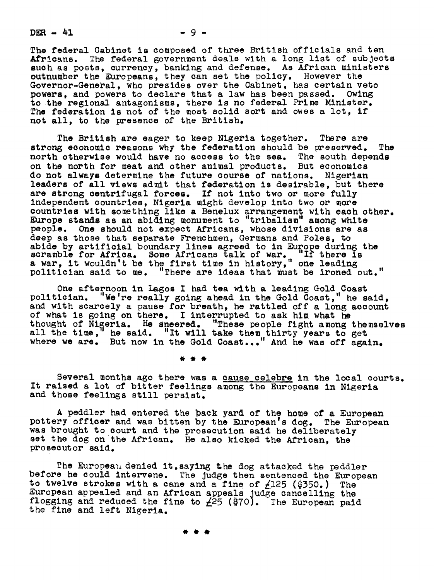$DER - 41$  - 9 -

The federal Cabinet is composed of three British officials and ten Africans. The federal government deals with a long list of subjects such as posts, currency, banking and defense. As African ministers outnumber the Europeans, they can set the policy. However the Governor-General, who presides over the Cabinet, has certain veto powers to declare that a law has been passed. Owing powers, and powers to declare that a law has been passed. to the regional antagonisms, there is no federal Prime Minister. The federation is not of the most solid sort and owes a lot, if not all, to the presence of the British.

The British are eager to keep Nigeria together. There are strong economic reasons why the federation should be preserved. The north otherwise would have no access to the sea. The south depends on the north for meat and other animal products. But economics do not always determine the future course of nations. Nigerian do not always determine the future course of nations. leaders of all views admit that federation is desirable, but there are strong centrifugal forces. If not into two or more fully independent countries, Nigeria might develop into two om more countries with something llke a Benelux arrangement with each other. Europe stands as an abiding monument to "tribalism" among white people. One should not expect Africans, whose divisions are as deep as those that separate Frenchmen, Germans and Poles, to abide by artificial boundary lines agreed to in Europe during the scramble for Africa. Some Africans talk of war. "If there is a war, it wouldn't be the first time in history," one leading politician said to me. "There are ideas that must be ironed out."

One afternoon in Lagos I had tea with a leading Gold Coast politician. "We're really going ahead in the Gold Coast, " he said , and with scarcely a pause for breath, he rattled off a long account of what is going on there. I interrupted to ask him what he thought of Nigeria. He sneered. "These people fight among themselves all the time," he said. "It will take them thirty years to get where we are. But now in the Gold Coast..." And he was off again.

Several months ago there was a cause\_ celebre in the local courts. It raised a lot of bitter feelings among the Europeans in Nigeria and those feelings still persist.

A peddler had entered the back yard of the home of a European pottery officer and was bitten by the European's dog. The European was brought to court and the prosecution said he deliberately set the dog on the African. He also kicked the African, the prosecutor said.

The European denied it, saying the dog attacked the peddler before he could intervene. The Judge then sentenced the European to twelve strokes with a cane and a fine of  $\angle$ 125 (\$350.) The European appealed and an African appeals judge cancelling the flogging and reduced the fine to  $\angle$ 25 (\$70). The European paid the fine and left Nigeria.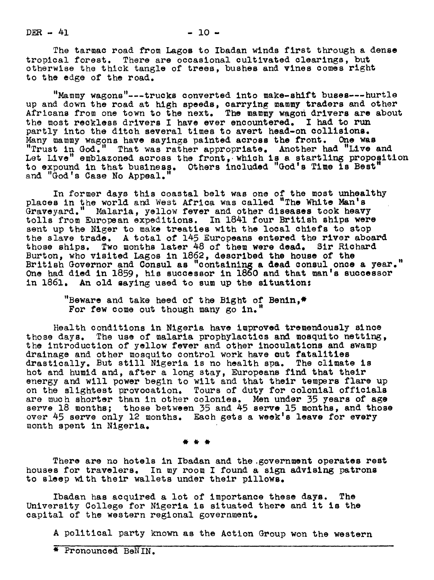$DER = 41$   $-10 =$ 

The tarmac road from Lagos to Ibadan winds first through a dense tropical forest. There are occasional cultivated clearings, but otherwise the thick tangle of trees, bushes and vines comes right to the edge of the road.

"Mammy wagons"---trucks converted into make-shlft buses---hurtle up and down the road at high speeds, carrying mammy traders and other Africans from one town to the next. The mammy wagon drivers are about the most reckless drivers I have ever encountered. I had to run partly into the ditch several times to avert head-on collisions. Many mammy wagons have sayings painted across the front. One was "Trust in God." That was rather appropriate. Another had "Live and Let Live" emblazoned across the front, which is a startling proposition to expound in that business. Others included "God's Time is Best" and "God's Case No Appeal."

In former days this coastal belt was one of the most unhealthy places in the world and West Africa was called "The White Man's Graveyard." Malaria, yellow fever and other diseases took heavy tolls from European expeditions. In 1841 four British ships were sent up the Niger to make treaties with the local chiefs to stop the slave trade. A total of 145 Europeans entered the river aboard those ships. Two months later 48 of them were dead. Sir Richard Burton, who visited Lagos in 1882, described the house of the British Governor and Consul as "containing & dead consul once a year. One had died in 1859, hie successor in 1860 and that man's successor in 1861. An old saying used to sum up the situation:

> "Beware and take heed of the Bight of Benin,\* For few come out though many go  $in.$

Health conditions in Nigeria have improved tremendously since those days. The use of malaria prophylactics and mosquito netting, the introduction of yellow fever and other inoculations and swamp drainage and other mosquito control work have cut fatalities drastically. But still Nigeria is no health spa. The climate is hot and humid and, after a long stay, Europeans find that their energy and will power begin to wilt and that their tempers flare up on the slightest provocation. Tours of duty for colonial officials are much shorter than in other colonies. Men under 35 years of age serve 18 months; those between 35 and 45 serve 15 months, and those over 45 serve only 12 months. Each gets a week's leave for every month spent in Nigeria.

There are no hotels in Ibadan and the government operates rest houses for travelers. In my room I found a sign advising patrons to sleep with their wallets under their pillows.

Ibadan has acquired a lot of importance these days. The University College for Nigeria is situated there and it is the capital of the western regional government.

A political party known as the Action Group won the western